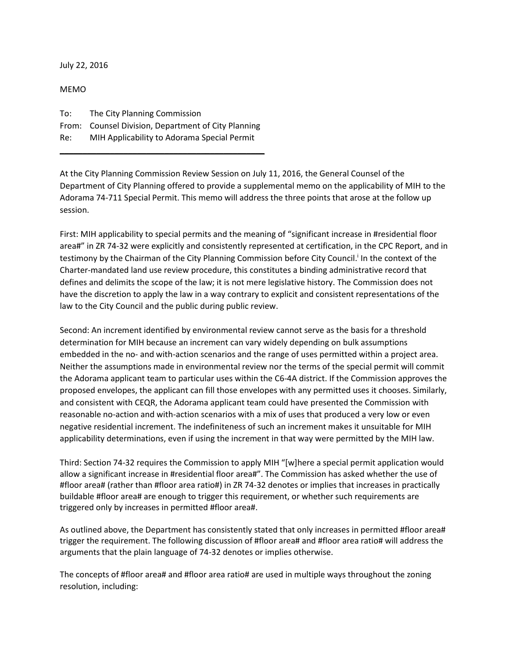July 22, 2016

MEMO To: The City Planning Commission From: Counsel Division, Department of City Planning Re: MIH Applicability to Adorama Special Permit

\_\_\_\_\_\_\_\_\_\_\_\_\_\_\_\_\_\_\_\_\_\_\_\_\_\_\_\_\_\_\_\_\_\_\_\_\_\_\_\_\_\_\_\_\_

At the City Planning Commission Review Session on July 11, 2016, the General Counsel of the Department of City Planning offered to provide a supplemental memo on the applicability of MIH to the Adorama 74-711 Special Permit. This memo will address the three points that arose at the follow up session.

First: MIH applicability to special permits and the meaning of "significant increase in #residential floor area#" in ZR 74-32 were explicitly and consistently represented at certification, in the CPC Report, and in testimony by the Chairman of the City Planning Commission before City Council.<sup>1</sup> In the context of the Charter-mandated land use review procedure, this constitutes a binding administrative record that defines and delimits the scope of the law; it is not mere legislative history. The Commission does not have the discretion to apply the law in a way contrary to explicit and consistent representations of the law to the City Council and the public during public review.

Second: An increment identified by environmental review cannot serve as the basis for a threshold determination for MIH because an increment can vary widely depending on bulk assumptions embedded in the no- and with-action scenarios and the range of uses permitted within a project area. Neither the assumptions made in environmental review nor the terms of the special permit will commit the Adorama applicant team to particular uses within the C6-4A district. If the Commission approves the proposed envelopes, the applicant can fill those envelopes with any permitted uses it chooses. Similarly, and consistent with CEQR, the Adorama applicant team could have presented the Commission with reasonable no-action and with-action scenarios with a mix of uses that produced a very low or even negative residential increment. The indefiniteness of such an increment makes it unsuitable for MIH applicability determinations, even if using the increment in that way were permitted by the MIH law.

Third: Section 74-32 requires the Commission to apply MIH "[w]here a special permit application would allow a significant increase in #residential floor area#". The Commission has asked whether the use of #floor area# (rather than #floor area ratio#) in ZR 74-32 denotes or implies that increases in practically buildable #floor area# are enough to trigger this requirement, or whether such requirements are triggered only by increases in permitted #floor area#.

As outlined above, the Department has consistently stated that only increases in permitted #floor area# trigger the requirement. The following discussion of #floor area# and #floor area ratio# will address the arguments that the plain language of 74-32 denotes or implies otherwise.

The concepts of #floor area# and #floor area ratio# are used in multiple ways throughout the zoning resolution, including: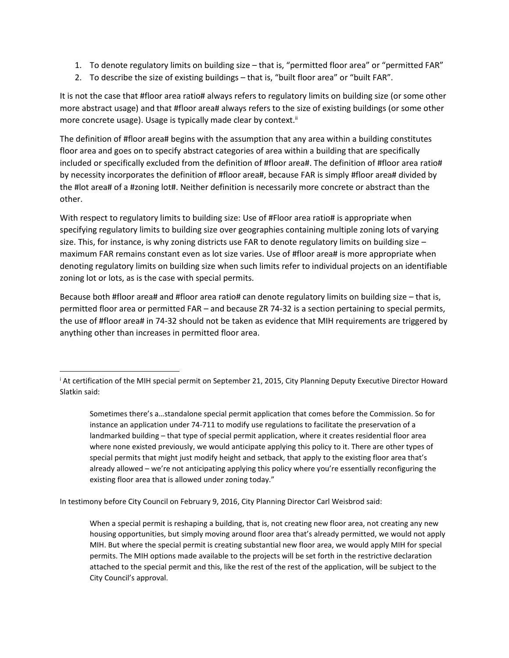- 1. To denote regulatory limits on building size that is, "permitted floor area" or "permitted FAR"
- 2. To describe the size of existing buildings that is, "built floor area" or "built FAR".

It is not the case that #floor area ratio# always refers to regulatory limits on building size (or some other more abstract usage) and that #floor area# always refers to the size of existing buildings (or some other more concrete usage). Usage is typically made clear by context.<sup>ii</sup>

The definition of #floor area# begins with the assumption that any area within a building constitutes floor area and goes on to specify abstract categories of area within a building that are specifically included or specifically excluded from the definition of #floor area#. The definition of #floor area ratio# by necessity incorporates the definition of #floor area#, because FAR is simply #floor area# divided by the #lot area# of a #zoning lot#. Neither definition is necessarily more concrete or abstract than the other.

With respect to regulatory limits to building size: Use of #Floor area ratio# is appropriate when specifying regulatory limits to building size over geographies containing multiple zoning lots of varying size. This, for instance, is why zoning districts use FAR to denote regulatory limits on building size maximum FAR remains constant even as lot size varies. Use of #floor area# is more appropriate when denoting regulatory limits on building size when such limits refer to individual projects on an identifiable zoning lot or lots, as is the case with special permits.

Because both #floor area# and #floor area ratio# can denote regulatory limits on building size – that is, permitted floor area or permitted FAR – and because ZR 74-32 is a section pertaining to special permits, the use of #floor area# in 74-32 should not be taken as evidence that MIH requirements are triggered by anything other than increases in permitted floor area.

Sometimes there's a…standalone special permit application that comes before the Commission. So for instance an application under 74-711 to modify use regulations to facilitate the preservation of a landmarked building – that type of special permit application, where it creates residential floor area where none existed previously, we would anticipate applying this policy to it. There are other types of special permits that might just modify height and setback, that apply to the existing floor area that's already allowed – we're not anticipating applying this policy where you're essentially reconfiguring the existing floor area that is allowed under zoning today."

In testimony before City Council on February 9, 2016, City Planning Director Carl Weisbrod said:

l

When a special permit is reshaping a building, that is, not creating new floor area, not creating any new housing opportunities, but simply moving around floor area that's already permitted, we would not apply MIH. But where the special permit is creating substantial new floor area, we would apply MIH for special permits. The MIH options made available to the projects will be set forth in the restrictive declaration attached to the special permit and this, like the rest of the rest of the application, will be subject to the City Council's approval.

<sup>i</sup> At certification of the MIH special permit on September 21, 2015, City Planning Deputy Executive Director Howard Slatkin said: